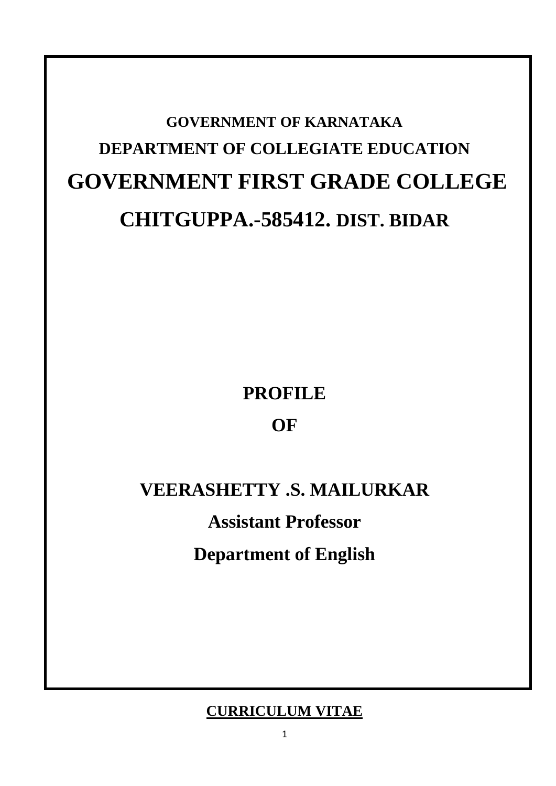# **GOVERNMENT OF KARNATAKA DEPARTMENT OF COLLEGIATE EDUCATION GOVERNMENT FIRST GRADE COLLEGE CHITGUPPA.-585412. DIST. BIDAR**

**PROFILE**

**OF**

# **VEERASHETTY .S. MAILURKAR**

**Assistant Professor Department of English**

# **CURRICULUM VITAE**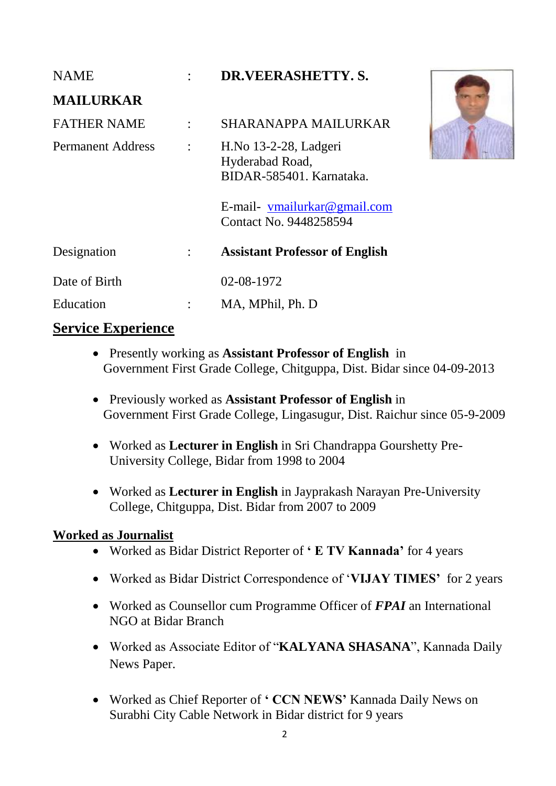| <b>NAME</b>              | $\bullet$            | DR.VEERASHETTY.S.                                                     |
|--------------------------|----------------------|-----------------------------------------------------------------------|
| <b>MAILURKAR</b>         |                      |                                                                       |
| <b>FATHER NAME</b>       | $\ddot{\phantom{a}}$ | SHARANAPPA MAILURKAR                                                  |
| <b>Permanent Address</b> | $\ddot{\cdot}$       | H. No 13-2-28, Ladgeri<br>Hyderabad Road,<br>BIDAR-585401. Karnataka. |
|                          |                      | E-mail- vmailurkar@gmail.com<br>Contact No. 9448258594                |
| Designation              | $\ddot{\cdot}$       | <b>Assistant Professor of English</b>                                 |
| Date of Birth            |                      | 02-08-1972                                                            |
| Education                | ÷                    | MA, MPhil, Ph. D                                                      |

## **Service Experience**

- Presently working as **Assistant Professor of English** in Government First Grade College, Chitguppa, Dist. Bidar since 04-09-2013
- Previously worked as **Assistant Professor of English** in Government First Grade College, Lingasugur, Dist. Raichur since 05-9-2009
- Worked as **Lecturer in English** in Sri Chandrappa Gourshetty Pre-University College, Bidar from 1998 to 2004
- Worked as **Lecturer in English** in Jayprakash Narayan Pre-University College, Chitguppa, Dist. Bidar from 2007 to 2009

## **Worked as Journalist**

- Worked as Bidar District Reporter of **‗ E TV Kannada'** for 4 years
- Worked as Bidar District Correspondence of "**VIJAY TIMES'** for 2 years
- Worked as Counsellor cum Programme Officer of *FPAI* an International NGO at Bidar Branch
- Worked as Associate Editor of "**KALYANA SHASANA**", Kannada Daily News Paper.
- Worked as Chief Reporter of **‗ CCN NEWS'** Kannada Daily News on Surabhi City Cable Network in Bidar district for 9 years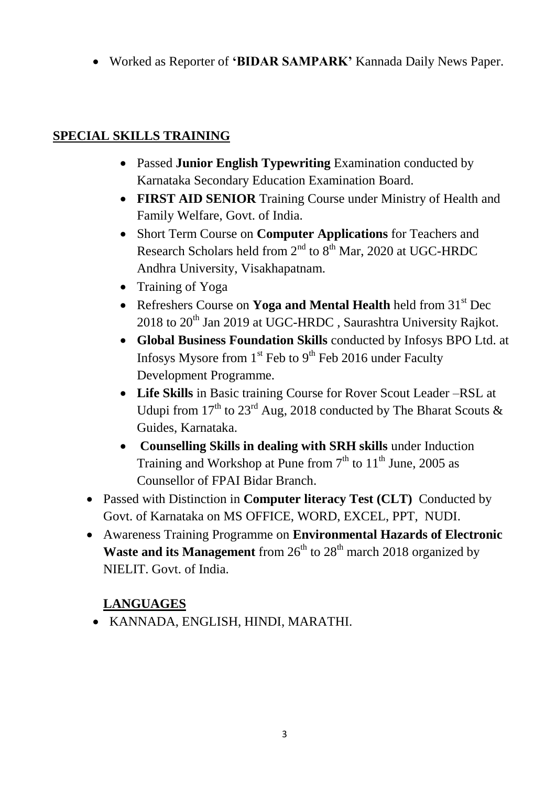Worked as Reporter of **‗BIDAR SAMPARK'** Kannada Daily News Paper.

## **SPECIAL SKILLS TRAINING**

- Passed **Junior English Typewriting** Examination conducted by Karnataka Secondary Education Examination Board.
- **FIRST AID SENIOR** Training Course under Ministry of Health and Family Welfare, Govt. of India.
- Short Term Course on **Computer Applications** for Teachers and Research Scholars held from  $2<sup>nd</sup>$  to  $8<sup>th</sup>$  Mar, 2020 at UGC-HRDC Andhra University, Visakhapatnam.
- Training of Yoga
- Refreshers Course on **Yoga and Mental Health** held from 31<sup>st</sup> Dec  $2018$  to  $20<sup>th</sup>$  Jan 2019 at UGC-HRDC, Saurashtra University Rajkot.
- **Global Business Foundation Skills** conducted by Infosys BPO Ltd. at Infosys Mysore from  $1<sup>st</sup>$  Feb to  $9<sup>th</sup>$  Feb 2016 under Faculty Development Programme.
- **Life Skills** in Basic training Course for Rover Scout Leader –RSL at Udupi from  $17<sup>th</sup>$  to  $23<sup>rd</sup>$  Aug, 2018 conducted by The Bharat Scouts & Guides, Karnataka.
- **Counselling Skills in dealing with SRH skills** under Induction Training and Workshop at Pune from  $7<sup>th</sup>$  to  $11<sup>th</sup>$  June, 2005 as Counsellor of FPAI Bidar Branch.
- Passed with Distinction in **Computer literacy Test (CLT)** Conducted by Govt. of Karnataka on MS OFFICE, WORD, EXCEL, PPT, NUDI.
- Awareness Training Programme on **Environmental Hazards of Electronic Waste and its Management** from 26<sup>th</sup> to 28<sup>th</sup> march 2018 organized by NIELIT. Govt. of India.

# **LANGUAGES**

KANNADA, ENGLISH, HINDI, MARATHI.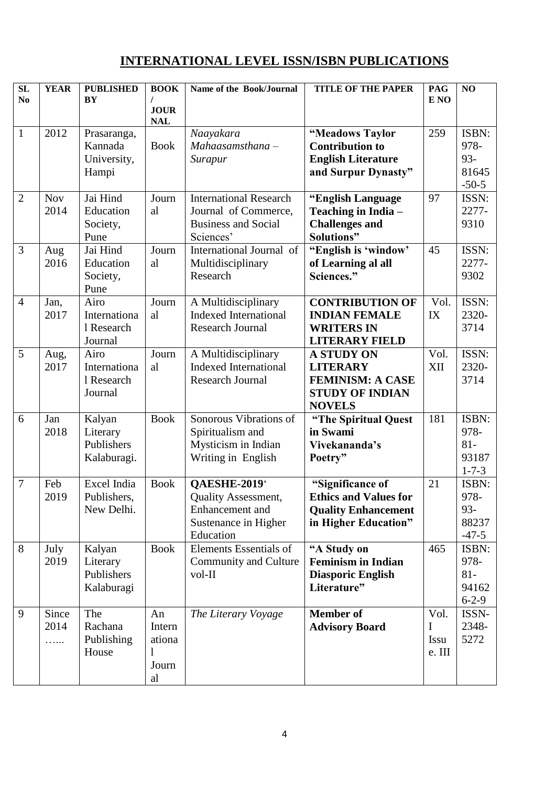# **INTERNATIONAL LEVEL ISSN/ISBN PUBLICATIONS**

| $\overline{\text{SL}}$<br>N <sub>o</sub> | <b>YEAR</b>        | <b>PUBLISHED</b><br>BY                          | <b>BOOK</b><br><b>JOUR</b>            | Name of the Book/Journal                                                                         | <b>TITLE OF THE PAPER</b>                                                                                  | <b>PAG</b><br>E NO                 | NO                                              |
|------------------------------------------|--------------------|-------------------------------------------------|---------------------------------------|--------------------------------------------------------------------------------------------------|------------------------------------------------------------------------------------------------------------|------------------------------------|-------------------------------------------------|
|                                          |                    |                                                 | <b>NAL</b>                            |                                                                                                  |                                                                                                            |                                    |                                                 |
| $\mathbf{1}$                             | 2012               | Prasaranga,<br>Kannada<br>University,<br>Hampi  | <b>Book</b>                           | Naayakara<br>$Mahaasamsthana -$<br>Surapur                                                       | "Meadows Taylor<br><b>Contribution to</b><br><b>English Literature</b><br>and Surpur Dynasty"              | 259                                | ISBN:<br>978-<br>$93 -$<br>81645<br>$-50-5$     |
| $\overline{2}$                           | <b>Nov</b><br>2014 | Jai Hind<br>Education<br>Society,<br>Pune       | Journ<br>al                           | <b>International Research</b><br>Journal of Commerce,<br><b>Business and Social</b><br>Sciences' | "English Language<br>Teaching in India -<br><b>Challenges and</b><br><b>Solutions</b> "                    | 97                                 | ISSN:<br>2277-<br>9310                          |
| $\overline{3}$                           | Aug<br>2016        | Jai Hind<br>Education<br>Society,<br>Pune       | Journ<br>al                           | International Journal of<br>Multidisciplinary<br>Research                                        | "English is 'window'<br>of Learning al all<br>Sciences."                                                   | 45                                 | ISSN:<br>2277-<br>9302                          |
| $\overline{4}$                           | Jan,<br>2017       | Airo<br>Internationa<br>1 Research<br>Journal   | Journ<br>al                           | A Multidisciplinary<br><b>Indexed International</b><br><b>Research Journal</b>                   | <b>CONTRIBUTION OF</b><br><b>INDIAN FEMALE</b><br><b>WRITERS IN</b><br><b>LITERARY FIELD</b>               | Vol.<br>IX                         | ISSN:<br>2320-<br>3714                          |
| 5                                        | Aug,<br>2017       | Airo<br>Internationa<br>1 Research<br>Journal   | Journ<br>al                           | A Multidisciplinary<br><b>Indexed International</b><br>Research Journal                          | <b>A STUDY ON</b><br><b>LITERARY</b><br><b>FEMINISM: A CASE</b><br><b>STUDY OF INDIAN</b><br><b>NOVELS</b> | Vol.<br><b>XII</b>                 | ISSN:<br>2320-<br>3714                          |
| 6                                        | Jan<br>2018        | Kalyan<br>Literary<br>Publishers<br>Kalaburagi. | <b>Book</b>                           | Sonorous Vibrations of<br>Spiritualism and<br>Mysticism in Indian<br>Writing in English          | "The Spiritual Quest<br>in Swami<br>Vivekananda's<br>Poetry"                                               | 181                                | ISBN:<br>978-<br>$81-$<br>93187<br>$1 - 7 - 3$  |
| $\overline{7}$                           | Feb<br>2019        | Excel India<br>Publishers,<br>New Delhi.        | <b>Book</b>                           | QAESHE-2019<br>Quality Assessment,<br>Enhancement and<br>Sustenance in Higher<br>Education       | "Significance of<br><b>Ethics and Values for</b><br><b>Quality Enhancement</b><br>in Higher Education"     | 21                                 | ISBN:<br>978-<br>$93 -$<br>88237<br>$-47-5$     |
| 8                                        | July<br>2019       | Kalyan<br>Literary<br>Publishers<br>Kalaburagi  | <b>Book</b>                           | <b>Elements Essentials of</b><br>Community and Culture<br>vol-II                                 | "A Study on<br><b>Feminism in Indian</b><br><b>Diasporic English</b><br>Literature"                        | 465                                | ISBN:<br>978-<br>$81 -$<br>94162<br>$6 - 2 - 9$ |
| 9                                        | Since<br>2014<br>. | The<br>Rachana<br>Publishing<br>House           | An<br>Intern<br>ationa<br>Journ<br>al | The Literary Voyage                                                                              | <b>Member</b> of<br><b>Advisory Board</b>                                                                  | Vol.<br>I<br><b>Issu</b><br>e. III | ISSN-<br>2348-<br>5272                          |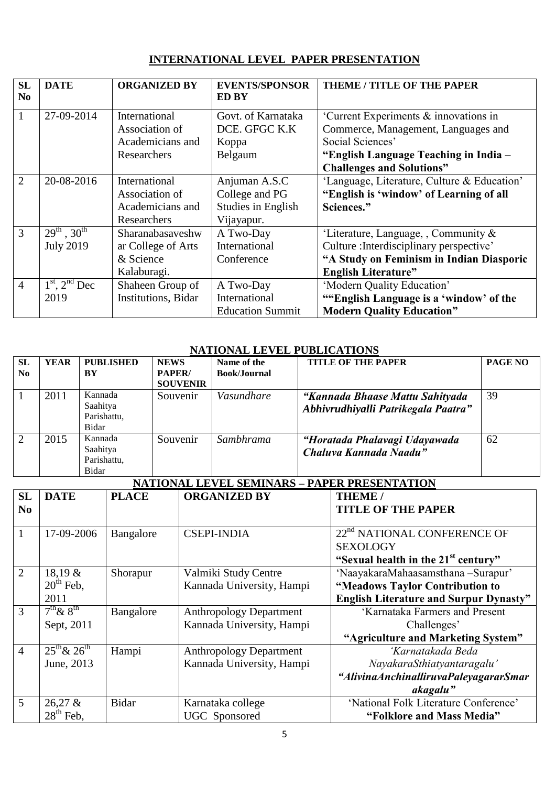## **INTERNATIONAL LEVEL PAPER PRESENTATION**

| <b>SL</b><br>N <sub>0</sub> | <b>DATE</b>           | <b>ORGANIZED BY</b> | <b>EVENTS/SPONSOR</b><br><b>ED BY</b> | THEME / TITLE OF THE PAPER                  |
|-----------------------------|-----------------------|---------------------|---------------------------------------|---------------------------------------------|
| $\mathbf{1}$                | 27-09-2014            | International       | Govt. of Karnataka                    | 'Current Experiments & innovations in       |
|                             |                       | Association of      | DCE. GFGC K.K                         | Commerce, Management, Languages and         |
|                             |                       | Academicians and    | Koppa                                 | Social Sciences'                            |
|                             |                       | Researchers         | Belgaum                               | "English Language Teaching in India -       |
|                             |                       |                     |                                       | <b>Challenges and Solutions"</b>            |
| $\overline{2}$              | 20-08-2016            | International       | Anjuman A.S.C                         | 'Language, Literature, Culture & Education' |
|                             |                       | Association of      | College and PG                        | "English is 'window' of Learning of all     |
|                             |                       | Academicians and    | Studies in English                    | Sciences."                                  |
|                             |                       | Researchers         | Vijayapur.                            |                                             |
| 3                           | $29^{th}$ , $30^{th}$ | Sharanabasaveshw    | A Two-Day                             | 'Literature, Language, , Community $\&$     |
|                             | <b>July 2019</b>      | ar College of Arts  | International                         | Culture : Interdisciplinary perspective'    |
|                             |                       | & Science           | Conference                            | "A Study on Feminism in Indian Diasporic    |
|                             |                       | Kalaburagi.         |                                       | <b>English Literature"</b>                  |
| $\overline{4}$              | $1st$ , $2nd$ Dec     | Shaheen Group of    | A Two-Day                             | 'Modern Quality Education'                  |
|                             | 2019                  | Institutions, Bidar | International                         | ""English Language is a 'window' of the     |
|                             |                       |                     | <b>Education Summit</b>               | <b>Modern Quality Education"</b>            |

#### **NATIONAL LEVEL PUBLICATIONS**

| <b>SL</b><br>N <sub>0</sub> | <b>YEAR</b> | <b>PUBLISHED</b><br>BY                      | <b>NEWS</b><br>PAPER/<br><b>SOUVENIR</b> | Name of the<br><b>Book/Journal</b> | <b>TITLE OF THE PAPER</b>                                              | PAGE NO |
|-----------------------------|-------------|---------------------------------------------|------------------------------------------|------------------------------------|------------------------------------------------------------------------|---------|
|                             | 2011        | Kannada<br>Saahitya<br>Parishattu,<br>Bidar | Souvenir                                 | Vasundhare                         | "Kannada Bhaase Mattu Sahityada<br>Abhivrudhiyalli Patrikegala Paatra" | 39      |
| $\overline{2}$              | 2015        | Kannada<br>Saahitya<br>Parishattu,<br>Bidar | Souvenir                                 | Sambhrama                          | "Horatada Phalavagi Udayawada<br>Chaluva Kannada Naadu"                | 62      |

# **NATIONAL LEVEL SEMINARS – PAPER PRESENTATION**

| <b>SL</b>                | <b>DATE</b>           | <b>PLACE</b> | <b>ORGANIZED BY</b>            | THE EXTREMENTATION<br>THEME /                   |
|--------------------------|-----------------------|--------------|--------------------------------|-------------------------------------------------|
|                          |                       |              |                                |                                                 |
| $\mathbf{N}\mathbf{0}$   |                       |              |                                | <b>TITLE OF THE PAPER</b>                       |
|                          |                       |              |                                |                                                 |
| $\overline{1}$           | 17-09-2006            | Bangalore    | <b>CSEPI-INDIA</b>             | 22 <sup>nd</sup> NATIONAL CONFERENCE OF         |
|                          |                       |              |                                | <b>SEXOLOGY</b>                                 |
|                          |                       |              |                                | "Sexual health in the 21 <sup>st</sup> century" |
| $2^{-}$                  | 18,19 &               | Shorapur     | Valmiki Study Centre           | 'NaayakaraMahaasamsthana -Surapur'              |
|                          | $20th$ Feb,           |              | Kannada University, Hampi      | "Meadows Taylor Contribution to                 |
|                          | 2011                  |              |                                | <b>English Literature and Surpur Dynasty"</b>   |
| $\overline{\mathcal{E}}$ | $7th \& 8th$          | Bangalore    | <b>Anthropology Department</b> | 'Karnataka Farmers and Present                  |
|                          | Sept, 2011            |              | Kannada University, Hampi      | Challenges'                                     |
|                          |                       |              |                                | "Agriculture and Marketing System"              |
| $\overline{4}$           | $25^{th}$ & $26^{th}$ | Hampi        | <b>Anthropology Department</b> | 'Karnatakada Beda                               |
|                          | June, 2013            |              | Kannada University, Hampi      | NayakaraSthiatyantaragalu'                      |
|                          |                       |              |                                | "AlivinaAnchinalliruvaPaleyagararSmar           |
|                          |                       |              |                                | akagalu"                                        |
| $\overline{5}$           | $26,27$ &             | <b>Bidar</b> | Karnataka college              | 'National Folk Literature Conference'           |
|                          | $28th$ Feb,           |              | UGC Sponsored                  | "Folklore and Mass Media"                       |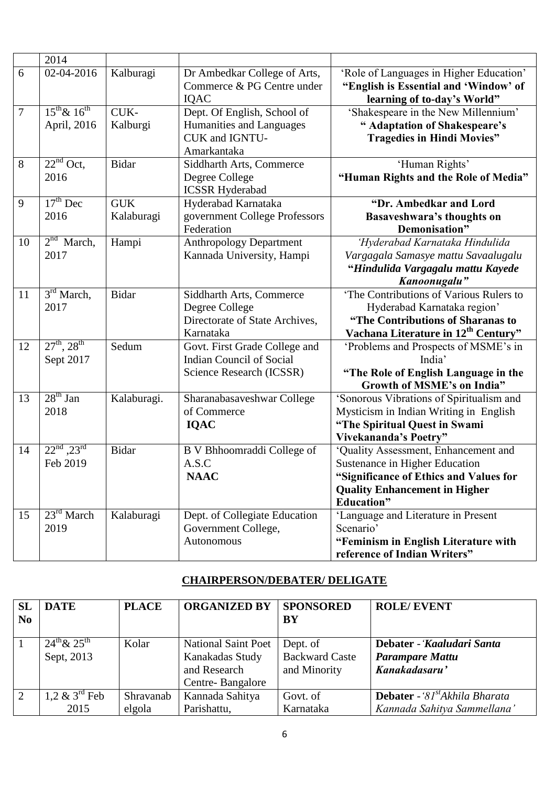|                | 2014                      |              |                                 |                                                 |
|----------------|---------------------------|--------------|---------------------------------|-------------------------------------------------|
| 6              | 02-04-2016                | Kalburagi    | Dr Ambedkar College of Arts,    | 'Role of Languages in Higher Education'         |
|                |                           |              | Commerce & PG Centre under      | "English is Essential and 'Window' of           |
|                |                           |              | IQAC                            | learning of to-day's World"                     |
| $\overline{7}$ | $15^{th}$ & $16^{th}$     | CUK-         | Dept. Of English, School of     | 'Shakespeare in the New Millennium'             |
|                | April, 2016               | Kalburgi     | Humanities and Languages        | " Adaptation of Shakespeare's                   |
|                |                           |              | CUK and IGNTU-                  | <b>Tragedies in Hindi Movies"</b>               |
|                |                           |              | Amarkantaka                     |                                                 |
| 8              | $22nd$ Oct,               | <b>Bidar</b> | Siddharth Arts, Commerce        | 'Human Rights'                                  |
|                | 2016                      |              | Degree College                  | "Human Rights and the Role of Media"            |
|                |                           |              | <b>ICSSR Hyderabad</b>          |                                                 |
| 9              | $17th$ Dec                | <b>GUK</b>   | Hyderabad Karnataka             | "Dr. Ambedkar and Lord                          |
|                | 2016                      | Kalaburagi   | government College Professors   | Basaveshwara's thoughts on                      |
|                |                           |              | Federation                      | Demonisation"                                   |
| 10             | 2 <sup>nd</sup><br>March, | Hampi        | <b>Anthropology Department</b>  | 'Hyderabad Karnataka Hindulida                  |
|                | 2017                      |              | Kannada University, Hampi       | Vargagala Samasye mattu Savaalugalu             |
|                |                           |              |                                 | "Hindulida Vargagalu mattu Kayede               |
|                |                           |              |                                 | Kanoonugalu"                                    |
| 11             | 3 <sup>rd</sup> March,    | <b>Bidar</b> | Siddharth Arts, Commerce        | 'The Contributions of Various Rulers to         |
|                | 2017                      |              | Degree College                  | Hyderabad Karnataka region'                     |
|                |                           |              | Directorate of State Archives,  | "The Contributions of Sharanas to               |
|                |                           |              | Karnataka                       | Vachana Literature in 12 <sup>th</sup> Century" |
| 12             | $27^{th}$ , $28^{th}$     | Sedum        | Govt. First Grade College and   | 'Problems and Prospects of MSME's in            |
|                | Sept 2017                 |              | <b>Indian Council of Social</b> | India'                                          |
|                |                           |              | Science Research (ICSSR)        | "The Role of English Language in the            |
|                |                           |              |                                 | <b>Growth of MSME's on India"</b>               |
| 13             | $28th$ Jan                | Kalaburagi.  | Sharanabasaveshwar College      | 'Sonorous Vibrations of Spiritualism and        |
|                | 2018                      |              | of Commerce                     | Mysticism in Indian Writing in English          |
|                |                           |              | <b>IQAC</b>                     | "The Spiritual Quest in Swami                   |
|                |                           |              |                                 | Vivekananda's Poetry"                           |
| 14             | $22^{nd}$ , $23^{rd}$     | <b>Bidar</b> | B V Bhhoomraddi College of      | 'Quality Assessment, Enhancement and            |
|                | Feb 2019                  |              | A.S.C                           | Sustenance in Higher Education                  |
|                |                           |              | <b>NAAC</b>                     | "Significance of Ethics and Values for          |
|                |                           |              |                                 | <b>Quality Enhancement in Higher</b>            |
|                |                           |              |                                 | <b>Education</b> "                              |
| 15             | $23rd$ March              | Kalaburagi   | Dept. of Collegiate Education   | 'Language and Literature in Present             |
|                | 2019                      |              | Government College,             | Scenario'                                       |
|                |                           |              | Autonomous                      | "Feminism in English Literature with            |
|                |                           |              |                                 | reference of Indian Writers"                    |
|                |                           |              |                                 |                                                 |

## **CHAIRPERSON/DEBATER/ DELIGATE**

| <b>SL</b><br>$\mathbf{N}\mathbf{0}$ | <b>DATE</b>                          | <b>PLACE</b>        | <b>ORGANIZED BY</b>                                                               | <b>SPONSORED</b><br>BY                                                                                                     | <b>ROLE/EVENT</b>                                                                |
|-------------------------------------|--------------------------------------|---------------------|-----------------------------------------------------------------------------------|----------------------------------------------------------------------------------------------------------------------------|----------------------------------------------------------------------------------|
|                                     | $24^{th}$ & $25^{th}$<br>Sept, 2013  | Kolar               | <b>National Saint Poet</b><br>Kanakadas Study<br>and Research<br>Centre-Bangalore | Debater - 'Kaaludari Santa<br>Dept. of<br><b>Backward Caste</b><br><b>Parampare Mattu</b><br>Kanakadasaru'<br>and Minority |                                                                                  |
| 2                                   | 1,2 $\&$ 3 <sup>rd</sup> Feb<br>2015 | Shravanab<br>elgola | Kannada Sahitya<br>Parishattu,                                                    | Govt. of<br>Karnataka                                                                                                      | <b>Debater</b> - '81 <sup>st</sup> Akhila Bharata<br>Kannada Sahitya Sammellana' |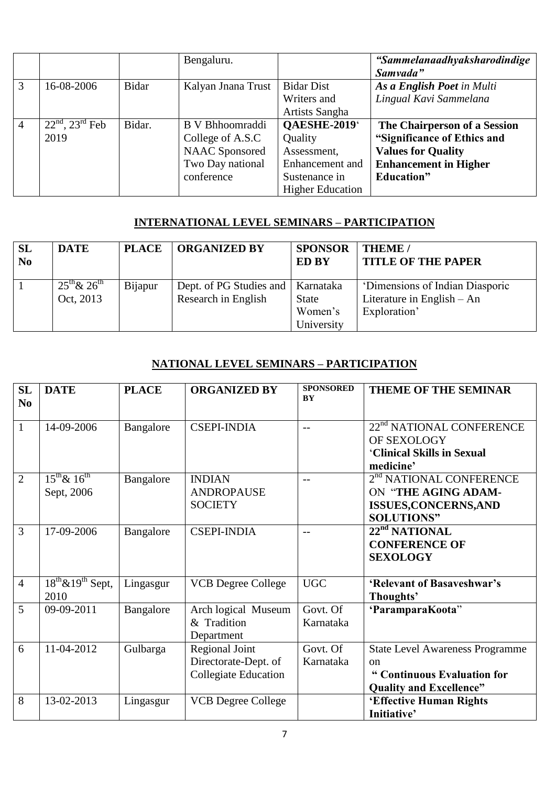|                |                                 |        | Bengaluru.            |                         | "Sammelanaadhyaksharodindige |
|----------------|---------------------------------|--------|-----------------------|-------------------------|------------------------------|
|                |                                 |        |                       |                         | Samvada"                     |
| 3              | 16-08-2006                      | Bidar  | Kalyan Jnana Trust    | <b>Bidar Dist</b>       | As a English Poet in Multi   |
|                |                                 |        |                       | Writers and             | Lingual Kavi Sammelana       |
|                |                                 |        |                       | Artists Sangha          |                              |
| $\overline{4}$ | $\sqrt{22^{nd}$ , $23^{rd}$ Feb | Bidar. | B V Bhhoomraddi       | QAESHE-2019             | The Chairperson of a Session |
|                | 2019                            |        | College of A.S.C      | Quality                 | "Significance of Ethics and  |
|                |                                 |        | <b>NAAC</b> Sponsored | Assessment,             | <b>Values for Quality</b>    |
|                |                                 |        | Two Day national      | Enhancement and         | <b>Enhancement in Higher</b> |
|                |                                 |        | conference            | Sustenance in           | <b>Education</b> "           |
|                |                                 |        |                       | <b>Higher Education</b> |                              |

## **INTERNATIONAL LEVEL SEMINARS – PARTICIPATION**

| <b>SL</b><br>N <sub>0</sub> | <b>DATE</b>           | <b>PLACE</b> | <b>ORGANIZED BY</b>                 | <b>SPONSOR</b><br><b>ED BY</b> | <b>THEME</b> /<br><b>TITLE OF THE PAPER</b> |
|-----------------------------|-----------------------|--------------|-------------------------------------|--------------------------------|---------------------------------------------|
|                             | $25^{th}$ & $26^{th}$ | Bijapur      | Dept. of PG Studies and   Karnataka |                                | 'Dimensions of Indian Diasporic             |
|                             | Oct, 2013             |              | Research in English                 | <b>State</b>                   | Literature in English $-$ An                |
|                             |                       |              |                                     | Women's                        | Exploration'                                |
|                             |                       |              |                                     | University                     |                                             |

## **NATIONAL LEVEL SEMINARS – PARTICIPATION**

| <b>SL</b><br>No | <b>DATE</b>                                                      | <b>PLACE</b> | <b>ORGANIZED BY</b>                                                   | <b>SPONSORED</b><br><b>BY</b> | <b>THEME OF THE SEMINAR</b>                                                                                              |
|-----------------|------------------------------------------------------------------|--------------|-----------------------------------------------------------------------|-------------------------------|--------------------------------------------------------------------------------------------------------------------------|
| $\overline{1}$  | 14-09-2006                                                       | Bangalore    | <b>CSEPI-INDIA</b>                                                    | $---$                         | 22 <sup>nd</sup> NATIONAL CONFERENCE<br>OF SEXOLOGY<br>'Clinical Skills in Sexual<br>medicine'                           |
| $\overline{2}$  | $\overline{15^{th}\&16^{th}}$<br>Sept, 2006                      | Bangalore    | <b>INDIAN</b><br><b>ANDROPAUSE</b><br><b>SOCIETY</b>                  |                               | 2 <sup>nd</sup> NATIONAL CONFERENCE<br>ON "THE AGING ADAM-<br><b>ISSUES, CONCERNS, AND</b><br><b>SOLUTIONS"</b>          |
| $\overline{3}$  | 17-09-2006                                                       | Bangalore    | <b>CSEPI-INDIA</b>                                                    | $---$                         | 22 <sup>nd</sup> NATIONAL<br><b>CONFERENCE OF</b><br><b>SEXOLOGY</b>                                                     |
| $\overline{4}$  | $\overline{18}$ <sup>th</sup> & $19$ <sup>th</sup> Sept,<br>2010 | Lingasgur    | <b>VCB Degree College</b>                                             | <b>UGC</b>                    | 'Relevant of Basaveshwar's<br>Thoughts'                                                                                  |
| $\overline{5}$  | 09-09-2011                                                       | Bangalore    | Arch logical Museum<br>& Tradition<br>Department                      | Govt. Of<br>Karnataka         | 'ParamparaKoota"                                                                                                         |
| 6               | 11-04-2012                                                       | Gulbarga     | Regional Joint<br>Directorate-Dept. of<br><b>Collegiate Education</b> | Govt. Of<br>Karnataka         | <b>State Level Awareness Programme</b><br><sub>on</sub><br>" Continuous Evaluation for<br><b>Quality and Excellence"</b> |
| 8               | 13-02-2013                                                       | Lingasgur    | <b>VCB Degree College</b>                                             |                               | 'Effective Human Rights<br>Initiative'                                                                                   |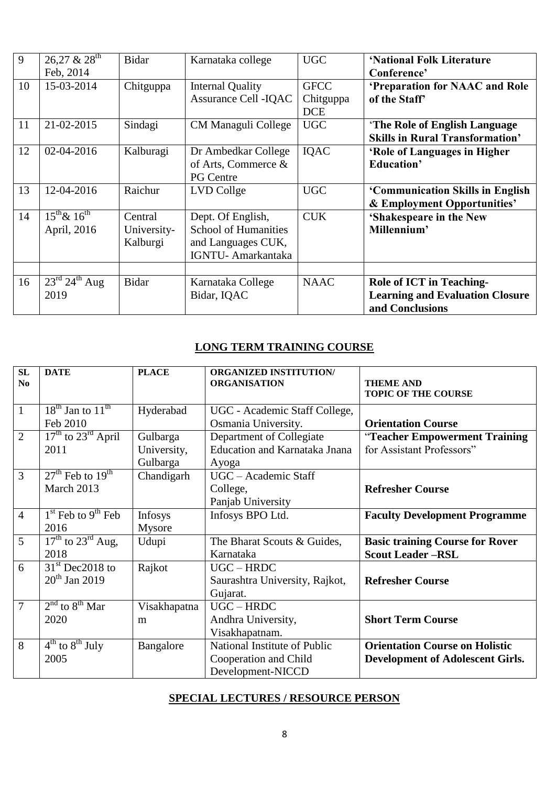| 9  | $26,27 & 28$ <sup>th</sup>            | <b>Bidar</b> | Karnataka college           | <b>UGC</b>  | 'National Folk Literature              |
|----|---------------------------------------|--------------|-----------------------------|-------------|----------------------------------------|
|    |                                       |              |                             |             |                                        |
|    | Feb, 2014                             |              |                             |             | Conference'                            |
| 10 | 15-03-2014                            | Chitguppa    | <b>Internal Quality</b>     | <b>GFCC</b> | 'Preparation for NAAC and Role         |
|    |                                       |              | Assurance Cell - IQAC       | Chitguppa   | of the Staff                           |
|    |                                       |              |                             | <b>DCE</b>  |                                        |
| 11 | 21-02-2015                            | Sindagi      | CM Managuli College         | <b>UGC</b>  | 'The Role of English Language          |
|    |                                       |              |                             |             | <b>Skills in Rural Transformation'</b> |
| 12 | 02-04-2016                            | Kalburagi    | Dr Ambedkar College         | <b>IQAC</b> | 'Role of Languages in Higher           |
|    |                                       |              | of Arts, Commerce &         |             | <b>Education'</b>                      |
|    |                                       |              | <b>PG Centre</b>            |             |                                        |
| 13 | 12-04-2016                            | Raichur      | LVD Collge                  | <b>UGC</b>  | 'Communication Skills in English       |
|    |                                       |              |                             |             | & Employment Opportunities'            |
| 14 | $15^{th}$ & $16^{th}$                 | Central      | Dept. Of English,           | <b>CUK</b>  | 'Shakespeare in the New                |
|    | April, 2016                           | University-  | <b>School of Humanities</b> |             | Millennium'                            |
|    |                                       | Kalburgi     | and Languages CUK,          |             |                                        |
|    |                                       |              | IGNTU- Amarkantaka          |             |                                        |
|    |                                       |              |                             |             |                                        |
|    |                                       |              |                             |             |                                        |
| 16 | $23^{\text{rd}}$ 24 <sup>th</sup> Aug | <b>Bidar</b> | Karnataka College           | <b>NAAC</b> | <b>Role of ICT in Teaching-</b>        |
|    | 2019                                  |              | Bidar, IQAC                 |             | <b>Learning and Evaluation Closure</b> |
|    |                                       |              |                             |             | and Conclusions                        |

## **LONG TERM TRAINING COURSE**

| SL<br>$\mathbf{N}\mathbf{0}$ | <b>DATE</b>                              | <b>PLACE</b> | <b>ORGANIZED INSTITUTION/</b><br><b>ORGANISATION</b> | <b>THEME AND</b><br><b>TOPIC OF THE COURSE</b> |
|------------------------------|------------------------------------------|--------------|------------------------------------------------------|------------------------------------------------|
| $\mathbf{1}$                 | $18^{\text{th}}$ Jan to $11^{\text{th}}$ | Hyderabad    | UGC - Academic Staff College,                        |                                                |
|                              | Feb 2010                                 |              | Osmania University.                                  | <b>Orientation Course</b>                      |
| $\overline{2}$               | $17th$ to $23rd$ April                   | Gulbarga     | Department of Collegiate                             | "Teacher Empowerment Training                  |
|                              | 2011                                     | University,  | <b>Education and Karnataka Jnana</b>                 | for Assistant Professors"                      |
|                              |                                          | Gulbarga     | Ayoga                                                |                                                |
| 3                            | $27th$ Feb to $19th$                     | Chandigarh   | UGC - Academic Staff                                 |                                                |
|                              | March 2013                               |              | College,                                             | <b>Refresher Course</b>                        |
|                              |                                          |              | Panjab University                                    |                                                |
| $\overline{4}$               | $1st$ Feb to 9 <sup>th</sup> Feb         | Infosys      | Infosys BPO Ltd.                                     | <b>Faculty Development Programme</b>           |
|                              | 2016                                     | Mysore       |                                                      |                                                |
| $\overline{5}$               | $17th$ to $23rd$ Aug,                    | Udupi        | The Bharat Scouts & Guides,                          | <b>Basic training Course for Rover</b>         |
|                              | 2018                                     |              | Karnataka                                            | <b>Scout Leader-RSL</b>                        |
| 6                            | $31st$ Dec2018 to                        | Rajkot       | $UGC - HRDC$                                         |                                                |
|                              | $20^{th}$ Jan 2019                       |              | Saurashtra University, Rajkot,                       | <b>Refresher Course</b>                        |
|                              |                                          |              | Gujarat.                                             |                                                |
| $\overline{7}$               | $2nd$ to $8th$ Mar                       | Visakhapatna | $UGC - HRDC$                                         |                                                |
|                              | 2020                                     | m            | Andhra University,                                   | <b>Short Term Course</b>                       |
|                              |                                          |              | Visakhapatnam.                                       |                                                |
| 8                            | $4^{\text{th}}$ to $8^{\text{th}}$ July  | Bangalore    | National Institute of Public                         | <b>Orientation Course on Holistic</b>          |
|                              | 2005                                     |              | Cooperation and Child                                | <b>Development of Adolescent Girls.</b>        |
|                              |                                          |              | Development-NICCD                                    |                                                |

#### **SPECIAL LECTURES / RESOURCE PERSON**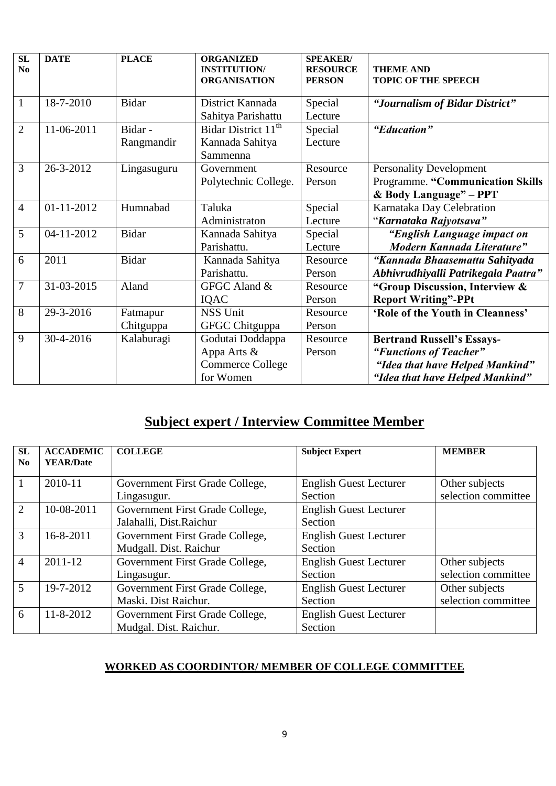| SL<br>N <sub>0</sub> | <b>DATE</b> | <b>PLACE</b> | <b>ORGANIZED</b><br><b>INSTITUTION/</b><br><b>ORGANISATION</b> | <b>SPEAKER/</b><br><b>RESOURCE</b><br><b>PERSON</b> | <b>THEME AND</b><br><b>TOPIC OF THE SPEECH</b> |
|----------------------|-------------|--------------|----------------------------------------------------------------|-----------------------------------------------------|------------------------------------------------|
| $\mathbf{1}$         | 18-7-2010   | <b>Bidar</b> | District Kannada                                               | Special                                             | "Journalism of Bidar District"                 |
|                      |             |              | Sahitya Parishattu                                             | Lecture                                             |                                                |
| $\overline{2}$       | 11-06-2011  | Bidar-       | Bidar District 11 <sup>th</sup>                                | Special                                             | "Education"                                    |
|                      |             | Rangmandir   | Kannada Sahitya                                                | Lecture                                             |                                                |
|                      |             |              | Sammenna                                                       |                                                     |                                                |
| 3                    | 26-3-2012   | Lingasuguru  | Government                                                     | Resource                                            | <b>Personality Development</b>                 |
|                      |             |              | Polytechnic College.                                           | Person                                              | Programme. "Communication Skills               |
|                      |             |              |                                                                |                                                     | & Body Language" - PPT                         |
| $\overline{4}$       | 01-11-2012  | Humnabad     | Taluka                                                         | Special                                             | Karnataka Day Celebration                      |
|                      |             |              | Administraton                                                  | Lecture                                             | "Karnataka Rajyotsava"                         |
| 5                    | 04-11-2012  | <b>Bidar</b> | Kannada Sahitya                                                | Special                                             | "English Language impact on                    |
|                      |             |              | Parishattu.                                                    | Lecture                                             | Modern Kannada Literature"                     |
| 6                    | 2011        | <b>Bidar</b> | Kannada Sahitya                                                | Resource                                            | "Kannada Bhaasemattu Sahityada                 |
|                      |             |              | Parishattu.                                                    | Person                                              | Abhivrudhiyalli Patrikegala Paatra"            |
| $\overline{7}$       | 31-03-2015  | Aland        | GFGC Aland &                                                   | Resource                                            | "Group Discussion, Interview &                 |
|                      |             |              | <b>IQAC</b>                                                    | Person                                              | <b>Report Writing"-PPt</b>                     |
| 8                    | 29-3-2016   | Fatmapur     | <b>NSS Unit</b>                                                | Resource                                            | 'Role of the Youth in Cleanness'               |
|                      |             | Chitguppa    | GFGC Chitguppa                                                 | Person                                              |                                                |
| 9                    | 30-4-2016   | Kalaburagi   | Godutai Doddappa                                               | Resource                                            | <b>Bertrand Russell's Essays-</b>              |
|                      |             |              | Appa Arts &                                                    | Person                                              | "Functions of Teacher"                         |
|                      |             |              | Commerce College                                               |                                                     | "Idea that have Helped Mankind"                |
|                      |             |              | for Women                                                      |                                                     | "Idea that have Helped Mankind"                |

# **Subject expert / Interview Committee Member**

| <b>SL</b>      | <b>ACCADEMIC</b> | <b>COLLEGE</b>                  | <b>Subject Expert</b>         | <b>MEMBER</b>       |
|----------------|------------------|---------------------------------|-------------------------------|---------------------|
| No.            | <b>YEAR/Date</b> |                                 |                               |                     |
| 1              | 2010-11          | Government First Grade College, | <b>English Guest Lecturer</b> | Other subjects      |
|                |                  | Lingasugur.                     | Section                       | selection committee |
| 2              | 10-08-2011       | Government First Grade College, | <b>English Guest Lecturer</b> |                     |
|                |                  | Jalahalli, Dist.Raichur         | Section                       |                     |
| 3              | 16-8-2011        | Government First Grade College, | <b>English Guest Lecturer</b> |                     |
|                |                  | Mudgall. Dist. Raichur          | Section                       |                     |
| $\overline{4}$ | 2011-12          | Government First Grade College, | <b>English Guest Lecturer</b> | Other subjects      |
|                |                  | Lingasugur.                     | Section                       | selection committee |
| $\mathfrak{H}$ | 19-7-2012        | Government First Grade College, | <b>English Guest Lecturer</b> | Other subjects      |
|                |                  | Maski. Dist Raichur.            | Section                       | selection committee |
| 6              | 11-8-2012        | Government First Grade College, | <b>English Guest Lecturer</b> |                     |
|                |                  | Mudgal. Dist. Raichur.          | Section                       |                     |

#### **WORKED AS COORDINTOR/ MEMBER OF COLLEGE COMMITTEE**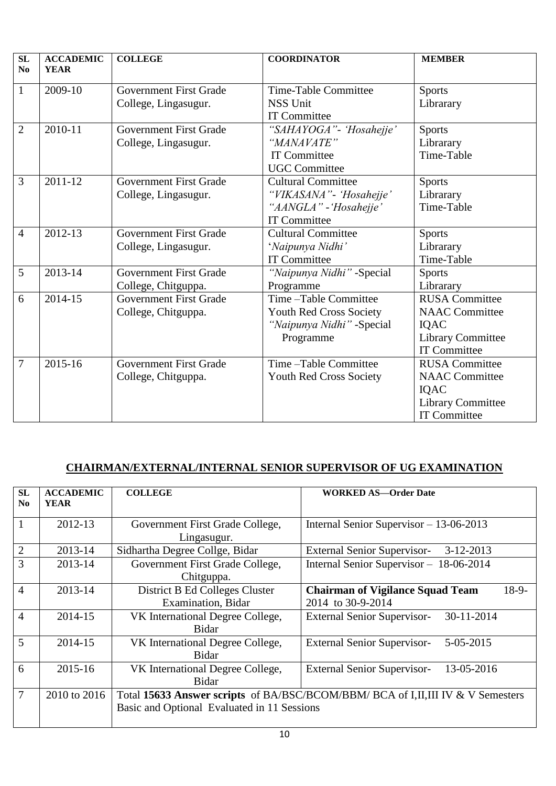| <b>SL</b><br>No | <b>ACCADEMIC</b><br><b>YEAR</b> | <b>COLLEGE</b>                                        | <b>COORDINATOR</b>                                                                                     | <b>MEMBER</b>                                                                                             |
|-----------------|---------------------------------|-------------------------------------------------------|--------------------------------------------------------------------------------------------------------|-----------------------------------------------------------------------------------------------------------|
| $\mathbf{1}$    | 2009-10                         | <b>Government First Grade</b><br>College, Lingasugur. | Time-Table Committee<br><b>NSS Unit</b><br><b>IT Committee</b>                                         | <b>Sports</b><br>Librarary                                                                                |
| $\overline{2}$  | 2010-11                         | <b>Government First Grade</b><br>College, Lingasugur. | "SAHAYOGA" - 'Hosahejje'<br>"MANAVATE"<br><b>IT Committee</b><br><b>UGC</b> Committee                  | <b>Sports</b><br>Librarary<br>Time-Table                                                                  |
| 3               | 2011-12                         | <b>Government First Grade</b><br>College, Lingasugur. | <b>Cultural Committee</b><br>"VIKASANA" - 'Hosahejje'<br>"AANGLA" - 'Hosahejje'<br><b>IT Committee</b> | <b>Sports</b><br>Librarary<br>Time-Table                                                                  |
| $\overline{4}$  | 2012-13                         | <b>Government First Grade</b><br>College, Lingasugur. | <b>Cultural Committee</b><br>'Naipunya Nidhi'<br><b>IT Committee</b>                                   | <b>Sports</b><br>Librarary<br>Time-Table                                                                  |
| 5               | 2013-14                         | <b>Government First Grade</b><br>College, Chitguppa.  | "Naipunya Nidhi" -Special<br>Programme                                                                 | <b>Sports</b><br>Librarary                                                                                |
| 6               | 2014-15                         | <b>Government First Grade</b><br>College, Chitguppa.  | Time-Table Committee<br>Youth Red Cross Society<br>"Naipunya Nidhi" -Special<br>Programme              | <b>RUSA</b> Committee<br><b>NAAC</b> Committee<br>IQAC<br>Library Committee<br>IT Committee               |
| 7               | 2015-16                         | <b>Government First Grade</b><br>College, Chitguppa.  | Time-Table Committee<br>Youth Red Cross Society                                                        | <b>RUSA</b> Committee<br><b>NAAC</b> Committee<br>IQAC<br><b>Library Committee</b><br><b>IT Committee</b> |

## **CHAIRMAN/EXTERNAL/INTERNAL SENIOR SUPERVISOR OF UG EXAMINATION**

| SL             | <b>ACCADEMIC</b> | <b>COLLEGE</b>                                                                  | <b>WORKED AS-Order Date</b>                        |  |
|----------------|------------------|---------------------------------------------------------------------------------|----------------------------------------------------|--|
| No             | <b>YEAR</b>      |                                                                                 |                                                    |  |
|                |                  |                                                                                 |                                                    |  |
|                | 2012-13          | Government First Grade College,                                                 | Internal Senior Supervisor - 13-06-2013            |  |
|                |                  | Lingasugur.                                                                     |                                                    |  |
| $\overline{2}$ | 2013-14          | Sidhartha Degree Collge, Bidar                                                  | $3-12-2013$<br><b>External Senior Supervisor-</b>  |  |
| 3              | 2013-14          | Government First Grade College,                                                 | Internal Senior Supervisor –<br>18-06-2014         |  |
|                |                  | Chitguppa.                                                                      |                                                    |  |
| $\overline{4}$ | 2013-14          | District B Ed Colleges Cluster                                                  | $18-9-$<br><b>Chairman of Vigilance Squad Team</b> |  |
|                |                  | Examination, Bidar                                                              | 2014 to 30-9-2014                                  |  |
| $\overline{4}$ | 2014-15          | VK International Degree College,                                                | 30-11-2014<br><b>External Senior Supervisor-</b>   |  |
|                |                  | <b>Bidar</b>                                                                    |                                                    |  |
| 5              | 2014-15          | VK International Degree College,                                                | <b>External Senior Supervisor-</b><br>5-05-2015    |  |
|                |                  | <b>Bidar</b>                                                                    |                                                    |  |
| 6              | 2015-16          | VK International Degree College,                                                | 13-05-2016<br><b>External Senior Supervisor-</b>   |  |
|                |                  | <b>Bidar</b>                                                                    |                                                    |  |
| 7              | 2010 to 2016     | Total 15633 Answer scripts of BA/BSC/BCOM/BBM/ BCA of I,II,III IV & V Semesters |                                                    |  |
|                |                  | Basic and Optional Evaluated in 11 Sessions                                     |                                                    |  |
|                |                  |                                                                                 |                                                    |  |